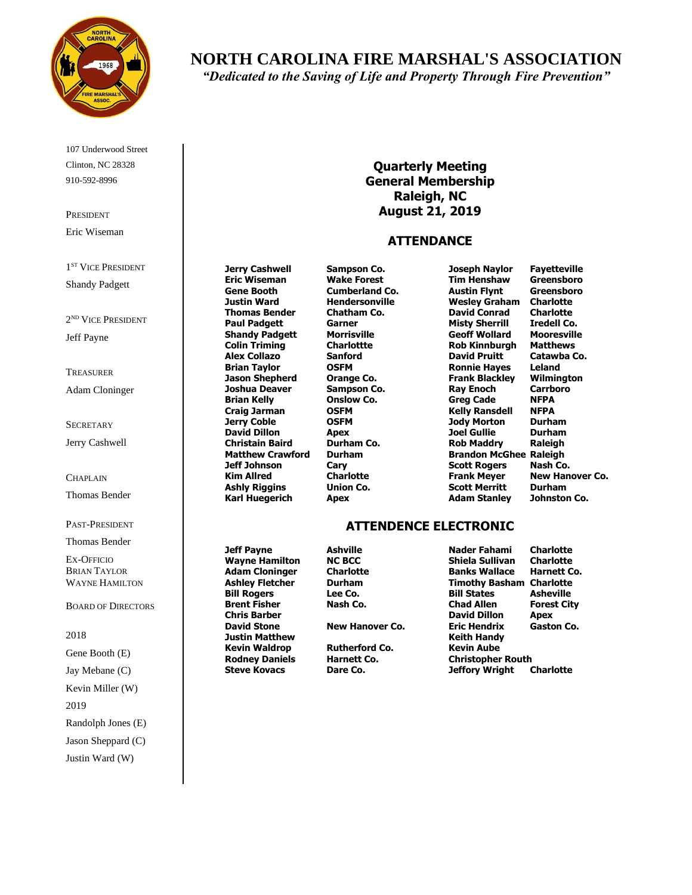

107 Underwood Street Clinton, NC 28328 910-592-8996

PRESIDENT Eric Wiseman

1<sup>ST</sup> VICE PRESIDENT Shandy Padgett

2 ND VICE PRESIDENT Jeff Payne

TREASURER Adam Cloninger

**SECRETARY** Jerry Cashwell

CHAPLAIN

Thomas Bender

PAST-PRESIDENT

Thomas Bender

EX-OFFICIO BRIAN TAYLOR WAYNE HAMILTON

BOARD OF DIRECTORS

2018 Gene Booth (E) Jay Mebane (C) Kevin Miller (W) 2019 Randolph Jones (E) Jason Sheppard (C) Justin Ward (W)

**Shandy Padgett Alex Collazo Sanford**<br> **Brian Taylor COSFM** 

**Chris Barber Justin Matthew Keith Handy Kevin Waldrop Rutherford Co. Kevin Aube**

**Cary Cary Cary Co. Co. Co. Co. CO. CO. CO. CO. CO. CO. CO. CO. CO. CO. CO. CO. CO. CO. CO. CO. CO. CO. CO. CO. CO. CO. CO. CO. CO. CO. CO. CO. CO. CO** 

**Jerry Cashwell Sampson Co. Joseph Naylor Fayetteville Ronnie Hayes Leland Brian Kelly Onslow Co. Greg Cade NFPA Craig Jarman OSFM Kelly Ransdell NFPA**

# **ATTENDENCE ELECTRONIC**

**Jeff Payne Ashville Nader Fahami Charlotte Wayne Hamilton NC BCC Shiela Sullivan Charlotte Adam Cloninger Charlotte Banks Wallace Harnett Co. Ashley Fletcher Durham Timothy Basham Charlotte Bill Rogers Lee Co. Bill States Asheville Brent Fisher Nash Co. Chad Allen Forest City David Stone New Hanover Co. Eric Hendrix Gaston Co. Rodney Daniels Harnett Co. Christopher Routh Steve Kovacs Dare Co. Jeffory Wright Charlotte**

**Quarterly Meeting General Membership Raleigh, NC August 21, 2019**

#### **ATTENDANCE**

**Eric Wiseman Wake Forest Tim Henshaw Greensboro Gene Booth Cumberland Co. Austin Flynt Greensboro Justin Ward Hendersonville Wesley Graham Charlotte Thomas Bender Chatham Co. David Conrad Charlotte Paul Padgett Garner Misty Sherrill Iredell Co. Colin Triming Charlottte Rob Kinnburgh Matthews Jason Shepherd Orange Co. Frank Blackley Wilmington Joshua Deaver Sampson Co. Ray Enoch Carrboro Jerry Coble OSFM Jody Morton Durham David Dillon Apex Joel Gullie Durham Christain Baird Durham Co. Rob Maddry Raleigh Matthew Crawford Durham Brandon McGhee Raleigh Kim Allred Charlotte Frank Meyer New Hanover Co. Ashly Riggins Union Co. Scott Merritt Durham Karl Huegerich Apex Adam Stanley Johnston Co.**

*"Dedicated to the Saving of Life and Property Through Fire Prevention"*

**NORTH CAROLINA FIRE MARSHAL'S ASSOCIATION**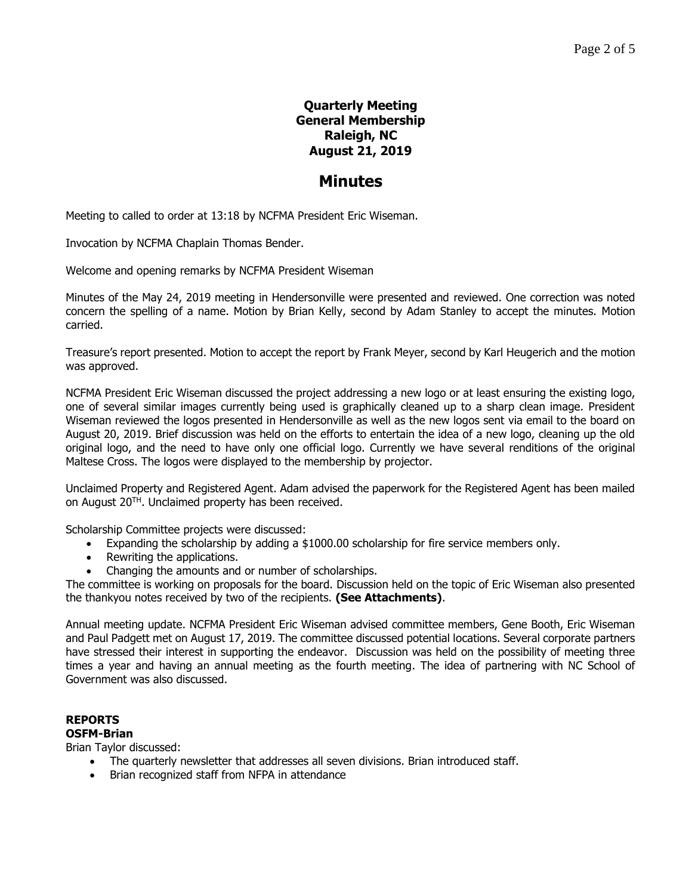# **Quarterly Meeting General Membership Raleigh, NC August 21, 2019**

# **Minutes**

Meeting to called to order at 13:18 by NCFMA President Eric Wiseman.

Invocation by NCFMA Chaplain Thomas Bender.

Welcome and opening remarks by NCFMA President Wiseman

Minutes of the May 24, 2019 meeting in Hendersonville were presented and reviewed. One correction was noted concern the spelling of a name. Motion by Brian Kelly, second by Adam Stanley to accept the minutes. Motion carried.

Treasure's report presented. Motion to accept the report by Frank Meyer, second by Karl Heugerich and the motion was approved.

NCFMA President Eric Wiseman discussed the project addressing a new logo or at least ensuring the existing logo, one of several similar images currently being used is graphically cleaned up to a sharp clean image. President Wiseman reviewed the logos presented in Hendersonville as well as the new logos sent via email to the board on August 20, 2019. Brief discussion was held on the efforts to entertain the idea of a new logo, cleaning up the old original logo, and the need to have only one official logo. Currently we have several renditions of the original Maltese Cross. The logos were displayed to the membership by projector.

Unclaimed Property and Registered Agent. Adam advised the paperwork for the Registered Agent has been mailed on August 20TH. Unclaimed property has been received.

Scholarship Committee projects were discussed:

- Expanding the scholarship by adding a \$1000.00 scholarship for fire service members only.
- Rewriting the applications.
- Changing the amounts and or number of scholarships.

The committee is working on proposals for the board. Discussion held on the topic of Eric Wiseman also presented the thankyou notes received by two of the recipients. **(See Attachments)**.

Annual meeting update. NCFMA President Eric Wiseman advised committee members, Gene Booth, Eric Wiseman and Paul Padgett met on August 17, 2019. The committee discussed potential locations. Several corporate partners have stressed their interest in supporting the endeavor. Discussion was held on the possibility of meeting three times a year and having an annual meeting as the fourth meeting. The idea of partnering with NC School of Government was also discussed.

#### **REPORTS OSFM-Brian**

Brian Taylor discussed:

- The quarterly newsletter that addresses all seven divisions. Brian introduced staff.
- Brian recognized staff from NFPA in attendance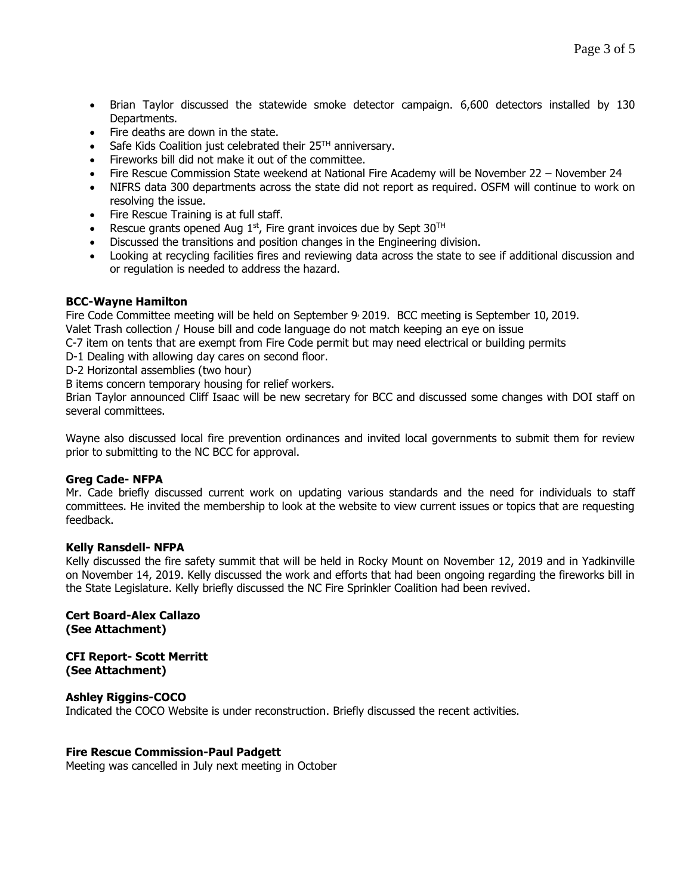- Brian Taylor discussed the statewide smoke detector campaign. 6,600 detectors installed by 130 Departments.
- Fire deaths are down in the state.
- Safe Kids Coalition just celebrated their 25<sup>TH</sup> anniversary.
- Fireworks bill did not make it out of the committee.
- Fire Rescue Commission State weekend at National Fire Academy will be November 22 November 24
- NIFRS data 300 departments across the state did not report as required. OSFM will continue to work on resolving the issue.
- Fire Rescue Training is at full staff.
- Rescue grants opened Aug  $1<sup>st</sup>$ , Fire grant invoices due by Sept 30<sup>TH</sup>
- Discussed the transitions and position changes in the Engineering division.
- Looking at recycling facilities fires and reviewing data across the state to see if additional discussion and or regulation is needed to address the hazard.

# **BCC-Wayne Hamilton**

Fire Code Committee meeting will be held on September 9 2019. BCC meeting is September 10, 2019. Valet Trash collection / House bill and code language do not match keeping an eye on issue

C-7 item on tents that are exempt from Fire Code permit but may need electrical or building permits

D-1 Dealing with allowing day cares on second floor.

D-2 Horizontal assemblies (two hour)

B items concern temporary housing for relief workers.

Brian Taylor announced Cliff Isaac will be new secretary for BCC and discussed some changes with DOI staff on several committees.

Wayne also discussed local fire prevention ordinances and invited local governments to submit them for review prior to submitting to the NC BCC for approval.

# **Greg Cade- NFPA**

Mr. Cade briefly discussed current work on updating various standards and the need for individuals to staff committees. He invited the membership to look at the website to view current issues or topics that are requesting feedback.

# **Kelly Ransdell- NFPA**

Kelly discussed the fire safety summit that will be held in Rocky Mount on November 12, 2019 and in Yadkinville on November 14, 2019. Kelly discussed the work and efforts that had been ongoing regarding the fireworks bill in the State Legislature. Kelly briefly discussed the NC Fire Sprinkler Coalition had been revived.

# **Cert Board-Alex Callazo (See Attachment)**

**CFI Report- Scott Merritt (See Attachment)**

# **Ashley Riggins-COCO**

Indicated the COCO Website is under reconstruction. Briefly discussed the recent activities.

# **Fire Rescue Commission-Paul Padgett**

Meeting was cancelled in July next meeting in October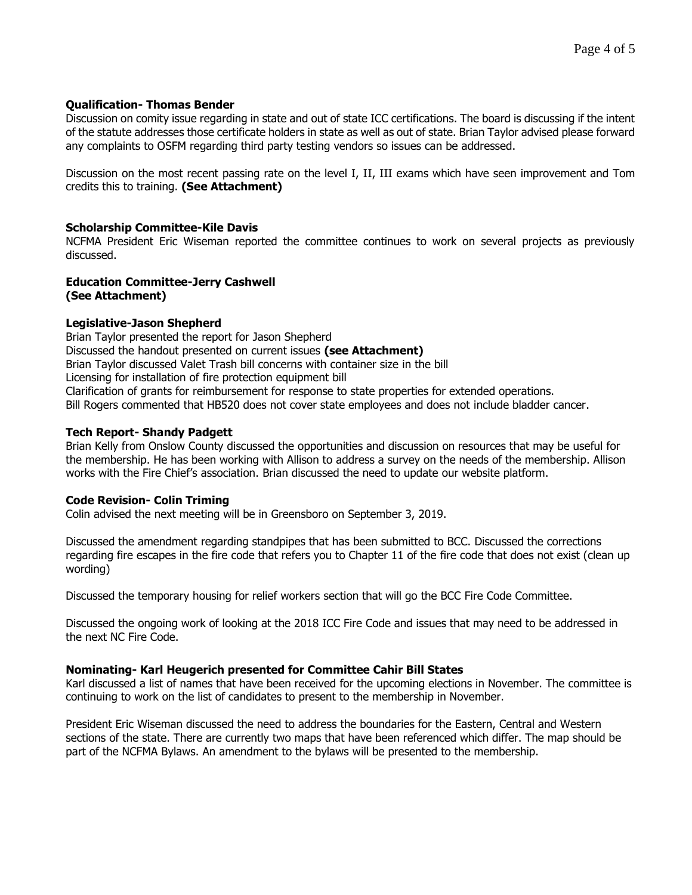# **Qualification- Thomas Bender**

Discussion on comity issue regarding in state and out of state ICC certifications. The board is discussing if the intent of the statute addresses those certificate holders in state as well as out of state. Brian Taylor advised please forward any complaints to OSFM regarding third party testing vendors so issues can be addressed.

Discussion on the most recent passing rate on the level I, II, III exams which have seen improvement and Tom credits this to training. **(See Attachment)**

# **Scholarship Committee-Kile Davis**

NCFMA President Eric Wiseman reported the committee continues to work on several projects as previously discussed.

#### **Education Committee-Jerry Cashwell (See Attachment)**

# **Legislative-Jason Shepherd**

Brian Taylor presented the report for Jason Shepherd Discussed the handout presented on current issues **(see Attachment)** Brian Taylor discussed Valet Trash bill concerns with container size in the bill Licensing for installation of fire protection equipment bill Clarification of grants for reimbursement for response to state properties for extended operations. Bill Rogers commented that HB520 does not cover state employees and does not include bladder cancer.

# **Tech Report- Shandy Padgett**

Brian Kelly from Onslow County discussed the opportunities and discussion on resources that may be useful for the membership. He has been working with Allison to address a survey on the needs of the membership. Allison works with the Fire Chief's association. Brian discussed the need to update our website platform.

# **Code Revision- Colin Triming**

Colin advised the next meeting will be in Greensboro on September 3, 2019.

Discussed the amendment regarding standpipes that has been submitted to BCC. Discussed the corrections regarding fire escapes in the fire code that refers you to Chapter 11 of the fire code that does not exist (clean up wording)

Discussed the temporary housing for relief workers section that will go the BCC Fire Code Committee.

Discussed the ongoing work of looking at the 2018 ICC Fire Code and issues that may need to be addressed in the next NC Fire Code.

# **Nominating- Karl Heugerich presented for Committee Cahir Bill States**

Karl discussed a list of names that have been received for the upcoming elections in November. The committee is continuing to work on the list of candidates to present to the membership in November.

President Eric Wiseman discussed the need to address the boundaries for the Eastern, Central and Western sections of the state. There are currently two maps that have been referenced which differ. The map should be part of the NCFMA Bylaws. An amendment to the bylaws will be presented to the membership.